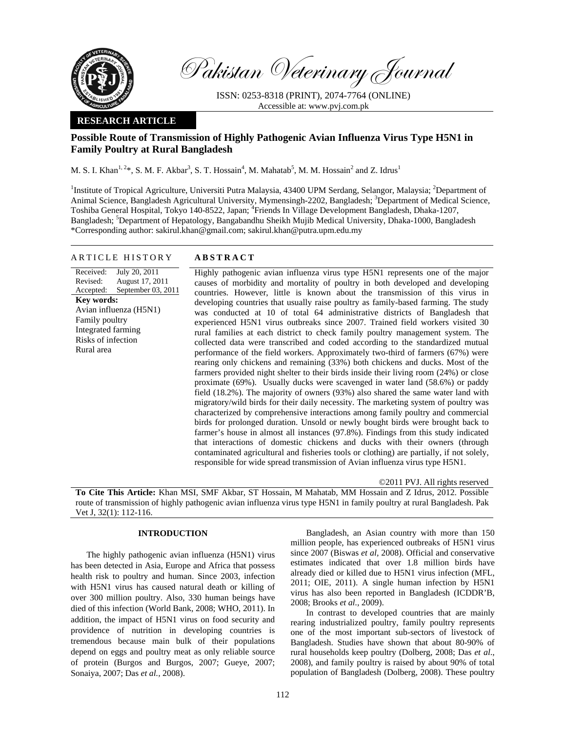

Pakistan Veterinary Journal

ISSN: 0253-8318 (PRINT), 2074-7764 (ONLINE) Accessible at: www.pvj.com.pk

## **RESEARCH ARTICLE**

# **Possible Route of Transmission of Highly Pathogenic Avian Influenza Virus Type H5N1 in Family Poultry at Rural Bangladesh**

M. S. I. Khan<sup>1, 2</sup>\*, S. M. F. Akbar<sup>3</sup>, S. T. Hossain<sup>4</sup>, M. Mahatab<sup>5</sup>, M. M. Hossain<sup>2</sup> and Z. Idrus<sup>1</sup>

<sup>1</sup>Institute of Tropical Agriculture, Universiti Putra Malaysia, 43400 UPM Serdang, Selangor, Malaysia; <sup>2</sup>Department of Animal Science, Bangladesh Agricultural University, Mymensingh-2202, Bangladesh; <sup>3</sup>Department of Medical Science, Toshiba General Hospital, Tokyo 140-8522, Japan; <sup>4</sup>Friends In Village Development Bangladesh, Dhaka-1207, Bangladesh; <sup>5</sup>Department of Hepatology, Bangabandhu Sheikh Mujib Medical University, Dhaka-1000, Bangladesh \*Corresponding author: sakirul.khan@gmail.com; sakirul.khan@putra.upm.edu.my

## ARTICLE HISTORY **ABSTRACT**

Received: Revised: Accepted: July 20, 2011 August 17, 2011 September 03, 2011 **Key words:**  Avian influenza (H5N1) Family poultry Integrated farming Risks of infection Rural area

Highly pathogenic avian influenza virus type H5N1 represents one of the major causes of morbidity and mortality of poultry in both developed and developing countries. However, little is known about the transmission of this virus in developing countries that usually raise poultry as family-based farming. The study was conducted at 10 of total 64 administrative districts of Bangladesh that experienced H5N1 virus outbreaks since 2007. Trained field workers visited 30 rural families at each district to check family poultry management system. The collected data were transcribed and coded according to the standardized mutual performance of the field workers. Approximately two-third of farmers (67%) were rearing only chickens and remaining (33%) both chickens and ducks. Most of the farmers provided night shelter to their birds inside their living room (24%) or close proximate (69%). Usually ducks were scavenged in water land (58.6%) or paddy field (18.2%). The majority of owners (93%) also shared the same water land with migratory/wild birds for their daily necessity. The marketing system of poultry was characterized by comprehensive interactions among family poultry and commercial birds for prolonged duration. Unsold or newly bought birds were brought back to farmer's house in almost all instances (97.8%). Findings from this study indicated that interactions of domestic chickens and ducks with their owners (through contaminated agricultural and fisheries tools or clothing) are partially, if not solely, responsible for wide spread transmission of Avian influenza virus type H5N1.

©2011 PVJ. All rights reserved

**To Cite This Article:** Khan MSI, SMF Akbar, ST Hossain, M Mahatab, MM Hossain and Z Idrus, 2012. Possible route of transmission of highly pathogenic avian influenza virus type H5N1 in family poultry at rural Bangladesh. Pak Vet J, 32(1): 112-116.

## **INTRODUCTION**

The highly pathogenic avian influenza (H5N1) virus has been detected in Asia, Europe and Africa that possess health risk to poultry and human. Since 2003, infection with H5N1 virus has caused natural death or killing of over 300 million poultry. Also, 330 human beings have died of this infection (World Bank, 2008; WHO, 2011). In addition, the impact of H5N1 virus on food security and providence of nutrition in developing countries is tremendous because main bulk of their populations depend on eggs and poultry meat as only reliable source of protein (Burgos and Burgos, 2007; Gueye, 2007; Sonaiya, 2007; Das *et al.,* 2008).

Bangladesh, an Asian country with more than 150 million people, has experienced outbreaks of H5N1 virus since 2007 (Biswas *et al,* 2008). Official and conservative estimates indicated that over 1.8 million birds have already died or killed due to H5N1 virus infection (MFL, 2011; OIE, 2011). A single human infection by H5N1 virus has also been reported in Bangladesh (ICDDR'B, 2008; Brooks *et al.,* 2009).

In contrast to developed countries that are mainly rearing industrialized poultry, family poultry represents one of the most important sub-sectors of livestock of Bangladesh. Studies have shown that about 80-90% of rural households keep poultry (Dolberg, 2008; Das *et al*., 2008), and family poultry is raised by about 90% of total population of Bangladesh (Dolberg, 2008). These poultry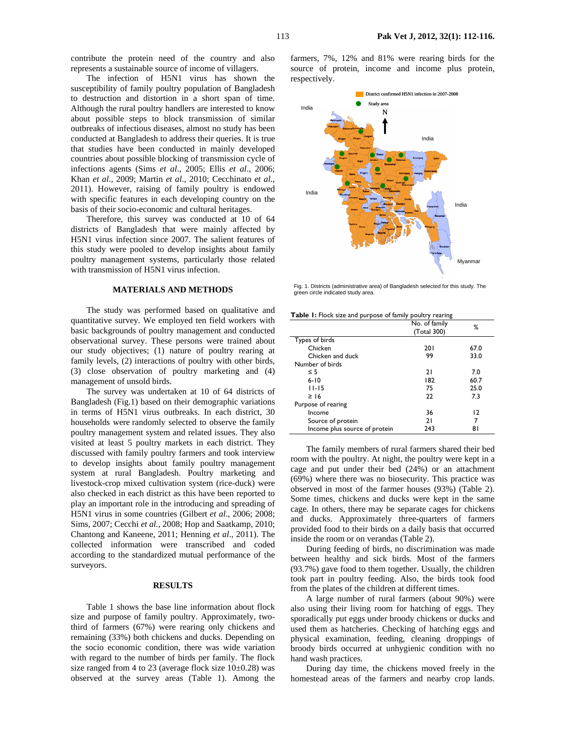contribute the protein need of the country and also represents a sustainable source of income of villagers.

The infection of H5N1 virus has shown the susceptibility of family poultry population of Bangladesh to destruction and distortion in a short span of time. Although the rural poultry handlers are interested to know about possible steps to block transmission of similar outbreaks of infectious diseases, almost no study has been conducted at Bangladesh to address their queries. It is true that studies have been conducted in mainly developed countries about possible blocking of transmission cycle of infections agents (Sims *et al*., 2005; Ellis *et al*., 2006; Khan *et al.,* 2009; Martin *et al.,* 2010; Cecchinato *et al.*, 2011). However, raising of family poultry is endowed with specific features in each developing country on the basis of their socio-economic and cultural heritages.

Therefore, this survey was conducted at 10 of 64 districts of Bangladesh that were mainly affected by H5N1 virus infection since 2007. The salient features of this study were pooled to develop insights about family poultry management systems, particularly those related with transmission of H5N1 virus infection.

## **MATERIALS AND METHODS**

 The study was performed based on qualitative and quantitative survey. We employed ten field workers with basic backgrounds of poultry management and conducted observational survey. These persons were trained about our study objectives; (1) nature of poultry rearing at family levels, (2) interactions of poultry with other birds, (3) close observation of poultry marketing and (4) management of unsold birds.

 The survey was undertaken at 10 of 64 districts of Bangladesh (Fig.1) based on their demographic variations in terms of H5N1 virus outbreaks. In each district, 30 households were randomly selected to observe the family poultry management system and related issues. They also visited at least 5 poultry markets in each district. They discussed with family poultry farmers and took interview to develop insights about family poultry management system at rural Bangladesh. Poultry marketing and livestock-crop mixed cultivation system (rice-duck) were also checked in each district as this have been reported to play an important role in the introducing and spreading of H5N1 virus in some countries (Gilbert *et al*., 2006; 2008; Sims, 2007; Cecchi *et al.*, 2008; Hop and Saatkamp, 2010; Chantong and Kaneene, 2011; Henning *et al*., 2011). The collected information were transcribed and coded according to the standardized mutual performance of the surveyors.

#### **RESULTS**

Table 1 shows the base line information about flock size and purpose of family poultry. Approximately, twothird of farmers (67%) were rearing only chickens and remaining (33%) both chickens and ducks. Depending on the socio economic condition, there was wide variation with regard to the number of birds per family. The flock size ranged from 4 to 23 (average flock size  $10\pm0.28$ ) was observed at the survey areas (Table 1). Among the

farmers, 7%, 12% and 81% were rearing birds for the source of protein, income and income plus protein, respectively.



Fig. 1. Districts (administrative area) of Bangladesh selected for this study. The green circle indicated study area.

**Table 1:** Flock size and purpose of family poultry rearing

|                               | No. of family<br>(Total 300) | ℅    |
|-------------------------------|------------------------------|------|
| Types of birds                |                              |      |
| Chicken                       | <b>201</b>                   | 67.0 |
| Chicken and duck              | 99                           | 33.0 |
| Number of birds               |                              |      |
| $\leq$ 5                      | 21                           | 7.0  |
| $6 - 10$                      | 182                          | 60.7 |
| 11-15                         | 75                           | 25.0 |
| $\geq$ 16                     | 22                           | 7.3  |
| Purpose of rearing            |                              |      |
| Income                        | 36                           | 12   |
| Source of protein             | 21                           | 7    |
| Income plus source of protein | 243                          | 81   |

The family members of rural farmers shared their bed room with the poultry. At night, the poultry were kept in a cage and put under their bed (24%) or an attachment (69%) where there was no biosecurity. This practice was observed in most of the farmer houses (93%) (Table 2). Some times, chickens and ducks were kept in the same cage. In others, there may be separate cages for chickens and ducks. Approximately three-quarters of farmers provided food to their birds on a daily basis that occurred inside the room or on verandas (Table 2).

During feeding of birds, no discrimination was made between healthy and sick birds. Most of the farmers (93.7%) gave food to them together. Usually, the children took part in poultry feeding. Also, the birds took food from the plates of the children at different times.

A large number of rural farmers (about 90%) were also using their living room for hatching of eggs. They sporadically put eggs under broody chickens or ducks and used them as hatcheries. Checking of hatching eggs and physical examination, feeding, cleaning droppings of broody birds occurred at unhygienic condition with no hand wash practices.

During day time, the chickens moved freely in the homestead areas of the farmers and nearby crop lands.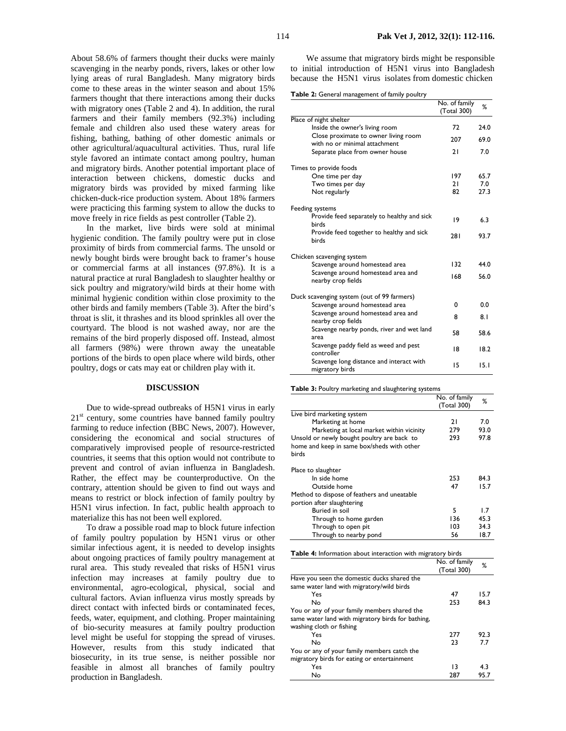About 58.6% of farmers thought their ducks were mainly scavenging in the nearby ponds, rivers, lakes or other low lying areas of rural Bangladesh. Many migratory birds come to these areas in the winter season and about 15% farmers thought that there interactions among their ducks with migratory ones (Table 2 and 4). In addition, the rural farmers and their family members (92.3%) including female and children also used these watery areas for fishing, bathing, bathing of other domestic animals or other agricultural/aquacultural activities. Thus, rural life style favored an intimate contact among poultry, human and migratory birds. Another potential important place of interaction between chickens, domestic ducks and migratory birds was provided by mixed farming like chicken-duck-rice production system. About 18% farmers were practicing this farming system to allow the ducks to move freely in rice fields as pest controller (Table 2).

In the market, live birds were sold at minimal hygienic condition. The family poultry were put in close proximity of birds from commercial farms. The unsold or newly bought birds were brought back to framer's house or commercial farms at all instances (97.8%). It is a natural practice at rural Bangladesh to slaughter healthy or sick poultry and migratory/wild birds at their home with minimal hygienic condition within close proximity to the other birds and family members (Table 3). After the bird's throat is slit, it thrashes and its blood sprinkles all over the courtyard. The blood is not washed away, nor are the remains of the bird properly disposed off. Instead, almost all farmers (98%) were thrown away the uneatable portions of the birds to open place where wild birds, other poultry, dogs or cats may eat or children play with it.

#### **DISCUSSION**

Due to wide-spread outbreaks of H5N1 virus in early  $21<sup>st</sup>$  century, some countries have banned family poultry farming to reduce infection (BBC News, 2007). However, considering the economical and social structures of comparatively improvised people of resource-restricted countries, it seems that this option would not contribute to prevent and control of avian influenza in Bangladesh. Rather, the effect may be counterproductive. On the contrary, attention should be given to find out ways and means to restrict or block infection of family poultry by H5N1 virus infection. In fact, public health approach to materialize this has not been well explored.

To draw a possible road map to block future infection of family poultry population by H5N1 virus or other similar infectious agent, it is needed to develop insights about ongoing practices of family poultry management at rural area. This study revealed that risks of H5N1 virus infection may increases at family poultry due to environmental, agro-ecological, physical, social and cultural factors. Avian influenza virus mostly spreads by direct contact with infected birds or contaminated feces, feeds, water, equipment, and clothing. Proper maintaining of bio-security measures at family poultry production level might be useful for stopping the spread of viruses. However, results from this study indicated that biosecurity, in its true sense, is neither possible nor feasible in almost all branches of family poultry production in Bangladesh.

114 **Pak Vet J, 2012, 32(1): 112-116.**

We assume that migratory birds might be responsible to initial introduction of H5N1 virus into Bangladesh because the H5N1 virus isolates from domestic chicken

**Table 2:** General management of family poultry

|                                                                       | No. of family | ℅    |
|-----------------------------------------------------------------------|---------------|------|
|                                                                       | (Total 300)   |      |
| Place of night shelter                                                |               |      |
| Inside the owner's living room                                        | 72            | 24.0 |
| Close proximate to owner living room<br>with no or minimal attachment | 207           | 69.0 |
| Separate place from owner house                                       | 21            | 7.0  |
| Times to provide foods                                                |               |      |
| One time per day                                                      | 197           | 65.7 |
| Two times per day                                                     | 21            | 7.0  |
| Not regularly                                                         | 82            | 27.3 |
| Feeding systems                                                       |               |      |
| Provide feed separately to healthy and sick<br>birds                  | 19            | 6.3  |
| Provide feed together to healthy and sick<br>birds                    | 281           | 93.7 |
| Chicken scavenging system                                             |               |      |
| Scavenge around homestead area                                        | 132           | 44.0 |
| Scavenge around homestead area and<br>nearby crop fields              | 168           | 56.0 |
| Duck scavenging system (out of 99 farmers)                            |               |      |
| Scavenge around homestead area                                        | 0             | 0.0  |
| Scavenge around homestead area and<br>nearby crop fields              | 8             | 8.1  |
| Scavenge nearby ponds, river and wet land<br>area                     | 58            | 58.6 |
| Scavenge paddy field as weed and pest<br>controller                   | 18            | 18.2 |
| Scavenge long distance and interact with<br>migratory birds           | 15            | 15.1 |

**Table 3:** Poultry marketing and slaughtering systems

|                                             | No. of family<br>(Total 300) | %    |
|---------------------------------------------|------------------------------|------|
| Live bird marketing system                  |                              |      |
| Marketing at home                           | 21                           | 7.0  |
| Marketing at local market within vicinity   | 279                          | 93.0 |
| Unsold or newly bought poultry are back to  | 293                          | 97.8 |
| home and keep in same box/sheds with other  |                              |      |
| birds                                       |                              |      |
| Place to slaughter                          |                              |      |
| In side home                                | 253                          | 84.3 |
| Outside home                                | 47                           | 15.7 |
| Method to dispose of feathers and uneatable |                              |      |
| portion after slaughtering                  |                              |      |
| <b>Buried in soil</b>                       | 5                            | 1.7  |
| Through to home garden                      | 136                          | 45.3 |
| Through to open pit                         | 103                          | 34.3 |
| Through to nearby pond                      | 56                           | 18.7 |

|                                                                                                                               | No. of family<br>(Total 300) | %    |
|-------------------------------------------------------------------------------------------------------------------------------|------------------------------|------|
| Have you seen the domestic ducks shared the                                                                                   |                              |      |
| same water land with migratory/wild birds                                                                                     |                              |      |
| Yes                                                                                                                           | 47                           | 15.7 |
| No                                                                                                                            | 253                          | 84.3 |
| You or any of your family members shared the<br>same water land with migratory birds for bathing,<br>washing cloth or fishing |                              |      |
| Yes                                                                                                                           | 277                          | 92.3 |
| No                                                                                                                            | 23                           | 77   |
| You or any of your family members catch the<br>migratory birds for eating or entertainment                                    |                              |      |
| Yes                                                                                                                           | 13                           | 4.3  |
| No                                                                                                                            | 287                          | 95.7 |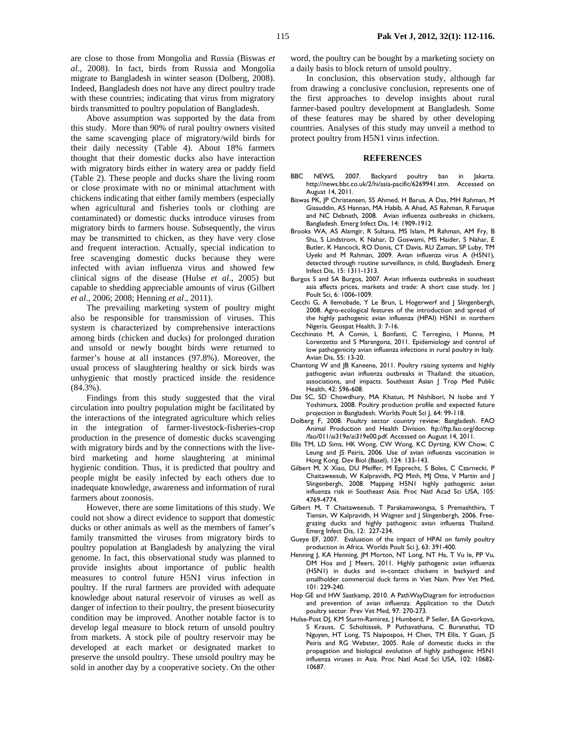are close to those from Mongolia and Russia (Biswas *et al.,* 2008). In fact, birds from Russia and Mongolia migrate to Bangladesh in winter season (Dolberg, 2008). Indeed, Bangladesh does not have any direct poultry trade with these countries; indicating that virus from migratory birds transmitted to poultry population of Bangladesh.

Above assumption was supported by the data from this study. More than 90% of rural poultry owners visited the same scavenging place of migratory/wild birds for their daily necessity (Table 4). About 18% farmers thought that their domestic ducks also have interaction with migratory birds either in watery area or paddy field (Table 2). These people and ducks share the living room or close proximate with no or minimal attachment with chickens indicating that either family members (especially when agricultural and fisheries tools or clothing are contaminated) or domestic ducks introduce viruses from migratory birds to farmers house. Subsequently, the virus may be transmitted to chicken, as they have very close and frequent interaction. Actually, special indication to free scavenging domestic ducks because they were infected with avian influenza virus and showed few clinical signs of the disease (Hulse *et al*., 2005) but capable to shedding appreciable amounts of virus (Gilbert *et al*., 2006; 2008; Henning *et al*., 2011).

The prevailing marketing system of poultry might also be responsible for transmission of viruses. This system is characterized by comprehensive interactions among birds (chicken and ducks) for prolonged duration and unsold or newly bought birds were returned to farmer's house at all instances (97.8%). Moreover, the usual process of slaughtering healthy or sick birds was unhygienic that mostly practiced inside the residence (84.3%).

Findings from this study suggested that the viral circulation into poultry population might be facilitated by the interactions of the integrated agriculture which relies in the integration of farmer-livestock-fisheries-crop production in the presence of domestic ducks scavenging with migratory birds and by the connections with the livebird marketing and home slaughtering at minimal hygienic condition. Thus, it is predicted that poultry and people might be easily infected by each others due to inadequate knowledge, awareness and information of rural farmers about zoonosis.

However, there are some limitations of this study. We could not show a direct evidence to support that domestic ducks or other animals as well as the members of famer's family transmitted the viruses from migratory birds to poultry population at Bangladesh by analyzing the viral genome. In fact, this observational study was planned to provide insights about importance of public health measures to control future H5N1 virus infection in poultry. If the rural farmers are provided with adequate knowledge about natural reservoir of viruses as well as danger of infection to their poultry, the present biosecurity condition may be improved. Another notable factor is to develop legal measure to block return of unsold poultry from markets. A stock pile of poultry reservoir may be developed at each market or designated market to preserve the unsold poultry. These unsold poultry may be sold in another day by a cooperative society. On the other

word, the poultry can be bought by a marketing society on a daily basis to block return of unsold poultry.

In conclusion, this observation study, although far from drawing a conclusive conclusion, represents one of the first approaches to develop insights about rural farmer-based poultry development at Bangladesh. Some of these features may be shared by other developing countries. Analyses of this study may unveil a method to protect poultry from H5N1 virus infection.

#### **REFERENCES**

- BBC NEWS, 2007. Backyard poultry ban in Jakarta. http://news.bbc.co.uk/2/hi/asia-pacific/6269941.stm. Accessed on August 14, 2011.
- Biswas PK, JP Christensen, SS Ahmed, H Barua, A Das, MH Rahman, M Giasuddin, AS Hannan, MA Habib, A Ahad, AS Rahman, R Faruque and NC Debnath, 2008. Avian influenza outbreaks in chickens, Bangladesh. Emerg Infect Dis, 14: 1909-1912.
- Brooks WA, AS Alamgir, R Sultana, MS Islam, M Rahman, AM Fry, B Shu, S Lindstrom, K Nahar, D Goswami, MS Haider, S Nahar, E Butler, K Hancock, RO Donis, CT Davis, RU Zaman, SP Luby, TM Uyeki and M Rahman, 2009. Avian influenza virus A (H5N1), detected through routine surveillance, in child, Bangladesh. Emerg Infect Dis, 15: 1311-1313.
- Burgos S and SA Burgos, 2007. Avian influenza outbreaks in southeast asia affects prices, markets and trade: A short case study. Int J Poult Sci, 6: 1006-1009.
- Cecchi G, A Ilemobade, Y Le Brun, L Hogerwerf and J Slingenbergh, 2008. Agro-ecological features of the introduction and spread of the highly pathogenic avian influenza (HPAI) H5N1 in northern Nigeria. Geospat Health, 3: 7-16.
- Cecchinato M, A Comin, L Bonfanti, C Terregino, I Monne, M Lorenzetto and S Marangona, 2011. Epidemiology and control of low pathogenicity avian influenza infections in rural poultry in Italy. Avian Dis, 55: 13-20.
- Chantong W and JB Kaneene, 2011. Poultry raising systems and highly pathogenic avian influenza outbreaks in Thailand: the situation, associations, and impacts. Southeast Asian J Trop Med Public Health, 42: 596-608.
- Das SC, SD Chowdhury, MA Khatun, M Nishibori, N Isobe and Y Yoshimura, 2008. Poultry production profile and expected future projection in Bangladesh. Worlds Poult Sci J, 64: 99-118.
- Dolberg F, 2008. Poultry sector country review: Bangladesh. FAO Animal Production and Health Division. ftp://ftp.fao.org/docrep /fao/011/ai319e/ai319e00.pdf. Accessed on August 14, 2011.
- Ellis TM, LD Sims, HK Wong, CW Wong, KC Dyrting, KW Chow, C Leung and JS Peiris, 2006. Use of avian influenza vaccination in Hong Kong. Dev Biol (Basel), 124: 133-143.
- Gilbert M, X Xiao, DU Pfeiffer, M Epprecht, S Boles, C Czarnecki, P Chaitaweesub, W Kalpravidh, PQ Minh, MJ Otte, V Martin and J Slingenbergh, 2008. Mapping H5N1 highly pathogenic avian influenza risk in Southeast Asia. Proc Natl Acad Sci USA, 105: 4769-4774.
- Gilbert M, T Chaitaweesub, T Parakamawongsa, S Premashthira, T Tiensin, W Kalpravidh, H Wagner and J Slingenbergh, 2006. Freegrazing ducks and highly pathogenic avian influenza Thailand. Emerg Infect Dis, 12: 227-234.
- Gueye EF, 2007. Evaluation of the impact of HPAI on family poultry production in Africa. Worlds Poult Sci J, 63: 391-400.
- Henning J, KA Henning, JM Morton, NT Long, NT Ha, T Vu le, PP Vu, DM Hoa and J Meers, 2011. Highly pathogenic avian influenza (H5N1) in ducks and in-contact chickens in backyard and smallholder commercial duck farms in Viet Nam. Prev Vet Med, 101: 229-240.
- Hop GE and HW Saatkamp, 2010. A PathWayDiagram for introduction and prevention of avian influenza: Application to the Dutch poultry sector. Prev Vet Med, 97: 270-273.
- Hulse-Post DJ, KM Sturm-Ramirez, J Humberd, P Seiler, EA Govorkova, S Krauss, C Scholtissek, P Puthavathana, C Buranathai, TD Nguyen, HT Long, TS Naipospos, H Chen, TM Ellis, Y Guan, JS Peiris and RG Webster, 2005. Role of domestic ducks in the propagation and biological evolution of highly pathogenic H5N1 influenza viruses in Asia. Proc Natl Acad Sci USA, 102: 10682- 10687.